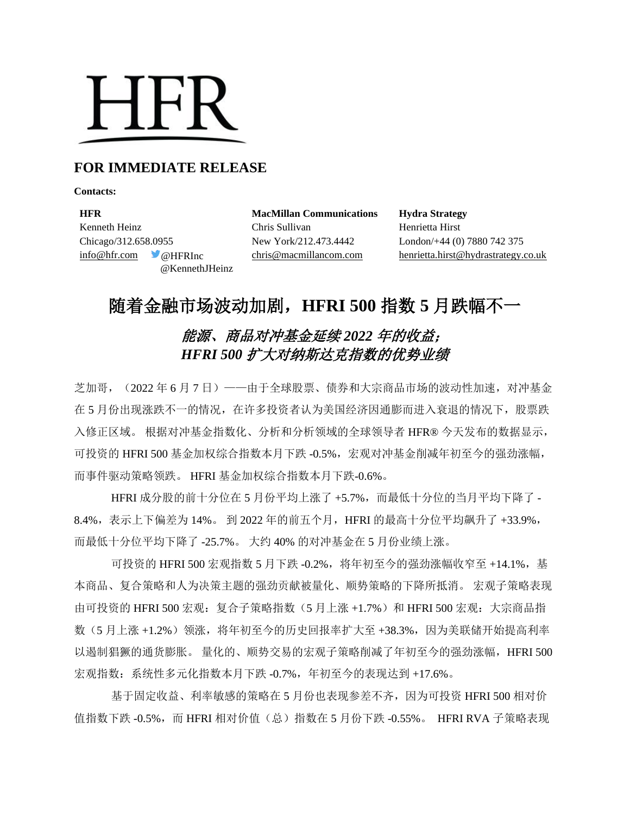# **HFR**

## **FOR IMMEDIATE RELEASE**

**Contacts:**

**HFR MacMillan Communications Hydra Strategy** Kenneth Heinz Chris Sullivan Henrietta Hirst Chicago/312.658.0955 New York/212.473.4442 London/+44 (0) 7880 742 375 @KennethJHeinz

[info@hfr.com](mailto:info@hfr.com) @HFRInc [chris@macmillancom.com](mailto:chris@macmillancom.com) henrietta.hirst@hydrastrategy.co.uk

# 随着金融市场波动加剧,**HFRI 500** 指数 **5** 月跌幅不一

# 能源、商品对冲基金延续 *2022* 年的收益; *HFRI 500* 扩大对纳斯达克指数的优势业绩

芝加哥,(2022 年 6 月 7 日)——由于全球股票、债券和大宗商品市场的波动性加速,对冲基金 在 5 月份出现涨跌不一的情况, 在许多投资者认为美国经济因通膨而进入衰退的情况下, 股票跌 入修正区域。 根据对冲基金指数化、分析和分析领域的全球领导者 HFR® 今天发布的数据显示, 可投资的 HFRI 500 基金加权综合指数本月下跌 -0.5%, 宏观对冲基金削减年初至今的强劲涨幅, 而事件驱动策略领跌。 HFRI 基金加权综合指数本月下跌-0.6%。

HFRI 成分股的前十分位在 5 月份平均上涨了 +5.7%, 而最低十分位的当月平均下降了 -8.4%,表示上下偏差为 14%。 到 2022 年的前五个月,HFRI 的最高十分位平均飙升了 +33.9%, 而最低十分位平均下降了 -25.7%。 大约 40% 的对冲基金在 5 月份业绩上涨。

可投资的 HFRI 500 宏观指数 5 月下跌 -0.2%, 将年初至今的强劲涨幅收窄至 +14.1%, 基 本商品、复合策略和人为决策主题的强劲贡献被量化、顺势策略的下降所抵消。 宏观子策略表现 由可投资的 HFRI 500 宏观: 复合子策略指数 (5 月上涨 +1.7%) 和 HFRI 500 宏观: 大宗商品指 数(5月上涨 +1.2%)领涨,将年初至今的历史回报率扩大至 +38.3%,因为美联储开始提高利率 以遏制猖獗的通货膨胀。 量化的、顺势交易的宏观子策略削减了年初至今的强劲涨幅, HFRI 500 宏观指数:系统性多元化指数本月下跌 -0.7%,年初至今的表现达到 +17.6%。

基于固定收益、利率敏感的策略在 5 月份也表现参差不齐,因为可投资 HFRI 500 相对价 值指数下跌 -0.5%, 而 HFRI 相对价值(总) 指数在 5 月份下跌 -0.55%。 HFRI RVA 子策略表现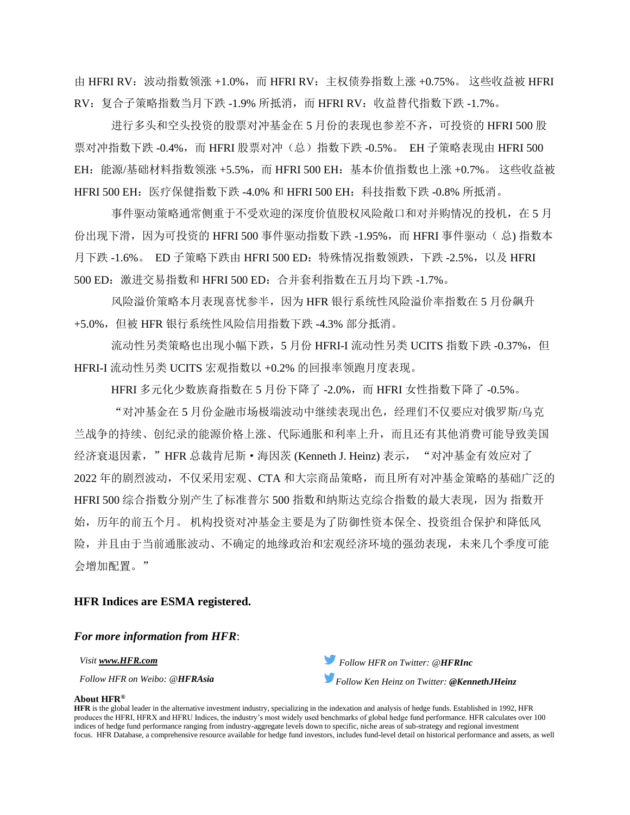由 HFRI RV:波动指数领涨 +1.0%,而 HFRI RV:主权债券指数上涨 +0.75%。 这些收益被 HFRI RV:复合子策略指数当月下跌 -1.9% 所抵消,而 HFRI RV:收益替代指数下跌 -1.7%。

进行多头和空头投资的股票对冲基金在 5 月份的表现也参差不齐,可投资的 HFRI 500 股 票对冲指数下跌 -0.4%, 而 HFRI 股票对冲(总) 指数下跌 -0.5%。 EH 子策略表现由 HFRI 500 EH: 能源/基础材料指数领涨 +5.5%,而 HFRI 500 EH: 基本价值指数也上涨 +0.7%。这些收益被 HFRI 500 EH:医疗保健指数下跌 -4.0% 和 HFRI 500 EH:科技指数下跌 -0.8% 所抵消。

事件驱动策略通常侧重于不受欢迎的深度价值股权风险敞口和对并购情况的投机,在 5 月 份出现下滑,因为可投资的 HFRI 500 事件驱动指数下跌 -1.95%,而 HFRI 事件驱动( 总) 指数本 月下跌 -1.6%。 ED 子策略下跌由 HFRI 500 ED:特殊情况指数领跌,下跌 -2.5%,以及 HFRI 500 ED:激进交易指数和 HFRI 500 ED:合并套利指数在五月均下跌 -1.7%。

风险溢价策略本月表现喜忧参半,因为 HFR 银行系统性风险溢价率指数在 5 月份飙升 +5.0%,但被 HFR 银行系统性风险信用指数下跌 -4.3% 部分抵消。

流动性另类策略也出现小幅下跌,5月份 HFRI-I 流动性另类 UCITS 指数下跌 -0.37%, 但 HFRI-I 流动性另类 UCITS 宏观指数以 +0.2% 的回报率领跑月度表现。

HFRI 多元化少数族裔指数在 5 月份下降了 -2.0%, 而 HFRI 女性指数下降了 -0.5%。

"对冲基金在 5 月份金融市场极端波动中继续表现出色,经理们不仅要应对俄罗斯/乌克 兰战争的持续、创纪录的能源价格上涨、代际通胀和利率上升,而且还有其他消费可能导致美国 经济衰退因素,"HFR 总裁肯尼斯·海因茨 (Kenneth J. Heinz) 表示, "对冲基金有效应对了 2022 年的剧烈波动,不仅采用宏观、CTA 和大宗商品策略,而且所有对冲基金策略的基础广泛的 HFRI 500 综合指数分别产生了标准普尔 500 指数和纳斯达克综合指数的最大表现,因为 指数开 始,历年的前五个月。 机构投资对冲基金主要是为了防御性资本保全、投资组合保护和降低风 险,并且由于当前通胀波动、不确定的地缘政治和宏观经济环境的强劲表现,未来几个季度可能 会增加配置。"

### **HFR Indices are ESMA registered.**

#### *For more information from HFR*:



#### **About HFR®**

**HFR** is the global leader in the alternative investment industry, specializing in the indexation and analysis of hedge funds. Established in 1992, HFR produces the HFRI, HFRX and HFRU Indices, the industry's most widely used benchmarks of global hedge fund performance. HFR calculates over 100 indices of hedge fund performance ranging from industry-aggregate levels down to specific, niche areas of sub-strategy and regional investment focus. HFR Database, a comprehensive resource available for hedge fund investors, includes fund-level detail on historical performance and assets, as well